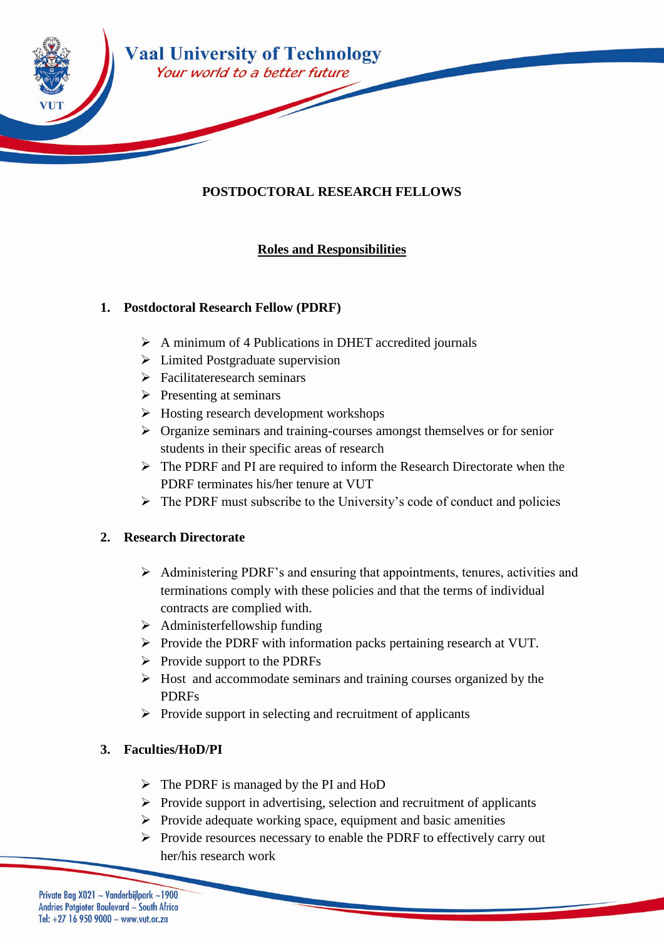

# **POSTDOCTORAL RESEARCH FELLOWS**

## **Roles and Responsibilities**

### **1. Postdoctoral Research Fellow (PDRF)**

- A minimum of 4 Publications in DHET accredited journals
- $\triangleright$  Limited Postgraduate supervision
- $\triangleright$  Facilitateresearch seminars
- $\triangleright$  Presenting at seminars
- $\triangleright$  Hosting research development workshops
- Organize seminars and training-courses amongst themselves or for senior students in their specific areas of research
- $\triangleright$  The PDRF and PI are required to inform the Research Directorate when the PDRF terminates his/her tenure at VUT
- $\triangleright$  The PDRF must subscribe to the University's code of conduct and policies

#### **2. Research Directorate**

- Administering PDRF's and ensuring that appointments, tenures, activities and terminations comply with these policies and that the terms of individual contracts are complied with.
- $\triangleright$  Administerfellowship funding
- $\triangleright$  Provide the PDRF with information packs pertaining research at VUT.
- $\triangleright$  Provide support to the PDRFs
- $\triangleright$  Host and accommodate seminars and training courses organized by the PDRFs
- $\triangleright$  Provide support in selecting and recruitment of applicants

### **3. Faculties/HoD/PI**

- $\triangleright$  The PDRF is managed by the PI and HoD
- $\triangleright$  Provide support in advertising, selection and recruitment of applicants
- $\triangleright$  Provide adequate working space, equipment and basic amenities
- $\triangleright$  Provide resources necessary to enable the PDRF to effectively carry out her/his research work

Private Bag X021 ~ Vanderbijlpark ~1900 Andries Potgieter Boulevard ~ South Africa Tel: +27 16 950 9000  $\sim$  www.vut.ac.za